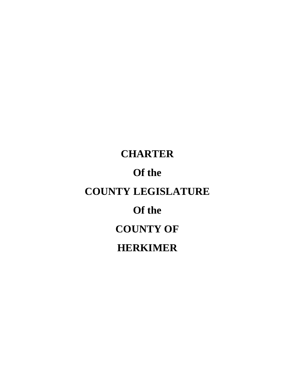# **CHARTER Of the COUNTY LEGISLATURE Of the COUNTY OF HERKIMER**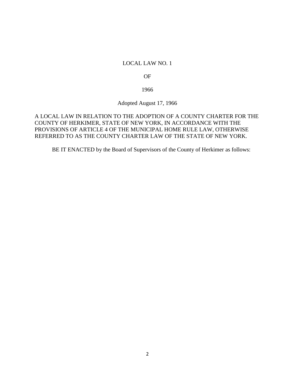### LOCAL LAW NO. 1

OF

1966

Adopted August 17, 1966

## A LOCAL LAW IN RELATION TO THE ADOPTION OF A COUNTY CHARTER FOR THE COUNTY OF HERKIMER, STATE OF NEW YORK, IN ACCORDANCE WITH THE PROVISIONS OF ARTICLE 4 OF THE MUNICIPAL HOME RULE LAW, OTHERWISE REFERRED TO AS THE COUNTY CHARTER LAW OF THE STATE OF NEW YORK.

BE IT ENACTED by the Board of Supervisors of the County of Herkimer as follows: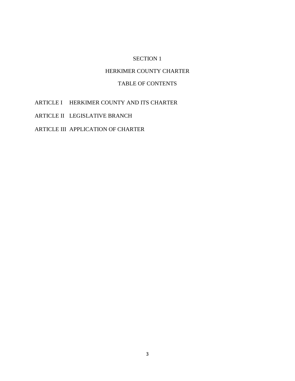# SECTION 1

# HERKIMER COUNTY CHARTER

# TABLE OF CONTENTS

ARTICLE I HERKIMER COUNTY AND ITS CHARTER

ARTICLE II LEGISLATIVE BRANCH

ARTICLE III APPLICATION OF CHARTER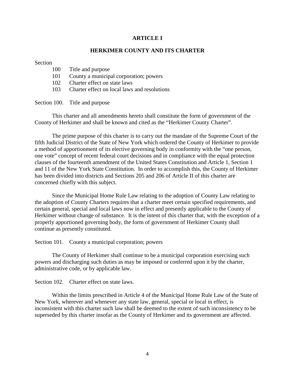#### **ARTICLE I**

#### **HERKIMER COUNTY AND ITS CHARTER**

#### **Section**

| 100<br>Title and purpose |  |
|--------------------------|--|
|--------------------------|--|

- 101 County a municipal corporation; powers
- 102 Charter effect on state laws
- 103 Charter effect on local laws and resolutions

Section 100. Title and purpose

This charter and all amendments hereto shall constitute the form of government of the County of Herkimer and shall be known and cited as the "Herkimer County Charter".

The prime purpose of this charter is to carry out the mandate of the Supreme Court of the fifth Judicial District of the State of New York which ordered the County of Herkimer to provide a method of apportionment of its elective governing body in conformity with the "one person, one vote" concept of recent federal court decisions and in compliance with the equal protection clauses of the fourteenth amendment of the United States Constitution and Article 1, Section 1 and 11 of the New York State Constitution. In order to accomplish this, the County of Herkimer has been divided into districts and Sections 205 and 206 of Article II of this charter are concerned chiefly with this subject.

Since the Municipal Home Rule Law relating to the adoption of County Law relating to the adoption of County Charters requires that a charter meet certain specified requirements, and certain general, special and local laws now in effect and presently applicable to the County of Herkimer without change of substance. It is the intent of this charter that, with the exception of a properly apportioned governing body, the form of government of Herkimer County shall continue as presently constituted.

Section 101. County a municipal corporation; powers

The County of Herkimer shall continue to be a municipal corporation exercising such powers and discharging such duties as may be imposed or conferred upon it by the charter, administrative code, or by applicable law.

Section 102. Charter effect on state laws.

Within the limits prescribed in Article 4 of the Municipal Home Rule Law of the State of New York, wherever and whenever any state law, general, special or local in effect, is inconsistent with this charter such law shall be deemed to the extent of such inconsistency to be superseded by this charter insofar as the County of Herkimer and its government are affected.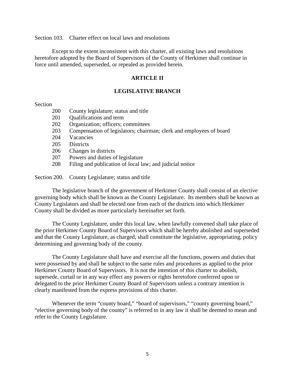Section 103. Charter effect on local laws and resolutions

Except to the extent inconsistent with this charter, all existing laws and resolutions heretofore adopted by the Board of Supervisors of the County of Herkimer shall continue in force until amended, superseded, or repealed as provided herein.

#### **ARTICLE II**

#### **LEGISLATIVE BRANCH**

### Section

- 200 County legislature; status and title
- 201 Qualifications and term
- 202 Organization; officers; committees
- 203 Compensation of legislators; chairman; clerk and employees of board
- 204 Vacancies
- 205 Districts
- 206 Changes in districts
- 207 Powers and duties of legislature
- 208 Filing and publication of local law; and judicial notice

Section 200. County Legislature; status and title

The legislative branch of the government of Herkimer County shall consist of an elective governing body which shall be known as the County Legislature. Its members shall be known as County Legislators and shall be elected one from each of the districts into which Herkimer County shall be divided as more particularly hereinafter set forth.

The County Legislature, under this local law, when lawfully convened shall take place of the prior Herkimer County Board of Supervisors which shall be hereby abolished and superseded and that the County Legislature, as charged, shall constitute the legislative, appropriating, policy determining and governing body of the county.

The County Legislature shall have and exercise all the functions, powers and duties that were possessed by and shall be subject to the same rules and procedures as applied to the prior Herkimer County Board of Supervisors. It is not the intention of this charter to abolish, supersede, curtail or in any way effect any powers or rights heretofore conferred upon or delegated to the prior Herkimer County Board of Supervisors unless a contrary intention is clearly manifested from the express provisions of this charter.

Whenever the term "county board," "board of supervisors," "county governing board," "elective governing body of the county" is referred to in any law it shall be deemed to mean and refer to the County Legislature.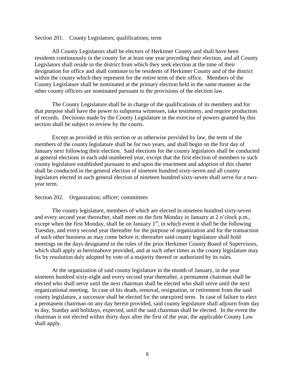Section 201. County Legislators; qualifications; term

All County Legislators shall be electors of Herkimer County and shall have been residents continuously in the county for at least one year preceding their election, and all County Legislators shall reside in the district from which they seek election at the time of their designation for office and shall continue to be residents of Herkimer County and of the district within the county which they represent for the entire term of their office. Members of the County Legislature shall be nominated at the primary election held in the same manner as the other county officers are nominated pursuant to the provisions of the election law.

The County Legislature shall be in charge of the qualifications of its members and for that purpose shall have the power to subpoena witnesses, take testimony, and require production of records. Decisions made by the County Legislature in the exercise of powers granted by this section shall be subject to review by the courts.

Except as provided in this section or as otherwise provided by law, the term of the members of the county legislature shall be for two years, and shall begin on the first day of January next following their election. Said elections for the county legislators shall be conducted at general elections in each odd-numbered year, except that the first election of members to such county legislature established pursuant to and upon the enactment and adoption of this charter shall be conducted in the general election of nineteen hundred sixty-seven and all county legislators elected in such general election of nineteen hundred sixty-seven shall serve for a two year term.

#### Section 202. Organization; officer; committees

The county legislature, members of which are elected in nineteen hundred sixty-seven and every second year thereafter, shall meet on the first Monday in January at 2 o'clock p.m., except when the first Monday, shall be on January  $1<sup>st</sup>$ , in which event it shall be the following Tuesday, and every second year thereafter for the purpose of organization and for the transaction of such other business as may come before it; thereafter said county legislature shall hold meetings on the days designated in the rules of the prior Herkimer County Board of Supervisors, which shall apply as hereinabove provided, and at such other times as the county legislature may fix by resolution duly adopted by vote of a majority thereof or authorized by its rules.

At the organization of said county legislature in the month of January, in the year nineteen hundred sixty-eight and every second year thereafter, a permanent chairman shall be elected who shall serve until the next chairman shall be elected who shall serve until the next organizational meeting. In case of his death, removal, resignation, or retirement from the said county legislature, a successor shall be elected for the unexpired term. In case of failure to elect a permanent chairman on any day herein provided, said county legislature shall adjourn from day to day, Sunday and holidays, expected, until the said chairman shall be elected. In the event the chairman is not elected within thirty days after the first of the year, the applicable County Law shall apply.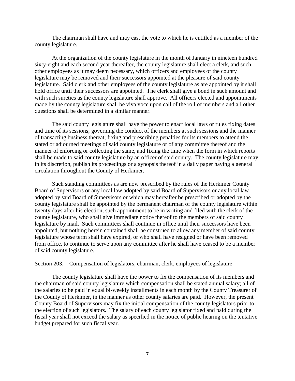The chairman shall have and may cast the vote to which he is entitled as a member of the county legislature.

At the organization of the county legislature in the month of January in nineteen hundred sixty-eight and each second year thereafter, the county legislature shall elect a clerk, and such other employees as it may deem necessary, which officers and employees of the county legislature may be removed and their successors appointed at the pleasure of said county legislature. Said clerk and other employees of the county legislature as are appointed by it shall hold office until their successors are appointed. The clerk shall give a bond in such amount and with such sureties as the county legislature shall approve. All officers elected and appointments made by the county legislature shall be viva voce upon call of the roll of members and all other questions shall be determined in a similar manner.

The said county legislature shall have the power to enact local laws or rules fixing dates and time of its sessions; governing the conduct of the members at such sessions and the manner of transacting business thereat; fixing and prescribing penalties for its members to attend the stated or adjourned meetings of said county legislature or of any committee thereof and the manner of enforcing or collecting the same, and fixing the time when the form in which reports shall be made to said county legislature by an officer of said county. The county legislature may, in its discretion, publish its proceedings or a synopsis thereof in a daily paper having a general circulation throughout the County of Herkimer.

Such standing committees as are now prescribed by the rules of the Herkimer County Board of Supervisors or any local law adopted by said Board of Supervisors or any local law adopted by said Board of Supervisors or which may hereafter be prescribed or adopted by the county legislature shall be appointed by the permanent chairman of the county legislature within twenty days after his election, such appointment to be in writing and filed with the clerk of the county legislature, who shall give immediate notice thereof to the members of said county legislature by mail. Such committees shall continue in office until their successors have been appointed, but nothing herein contained shall be construed to allow any member of said county legislature whose term shall have expired, or who shall have resigned or have been removed from office, to continue to serve upon any committee after he shall have ceased to be a member of said county legislature.

Section 203. Compensation of legislators, chairman, clerk, employees of legislature

The county legislature shall have the power to fix the compensation of its members and the chairman of said county legislature which compensation shall be stated annual salary; all of the salaries to be paid in equal bi-weekly installments in each month by the County Treasurer of the County of Herkimer, in the manner as other county salaries are paid. However, the present County Board of Supervisors may fix the initial compensation of the county legislators prior to the election of such legislators. The salary of each county legislator fixed and paid during the fiscal year shall not exceed the salary as specified in the notice of public hearing on the tentative budget prepared for such fiscal year.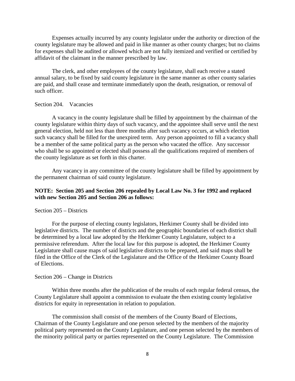Expenses actually incurred by any county legislator under the authority or direction of the county legislature may be allowed and paid in like manner as other county charges; but no claims for expenses shall be audited or allowed which are not fully itemized and verified or certified by affidavit of the claimant in the manner prescribed by law.

The clerk, and other employees of the county legislature, shall each receive a stated annual salary, to be fixed by said county legislature in the same manner as other county salaries are paid, and shall cease and terminate immediately upon the death, resignation, or removal of such officer.

#### Section 204. Vacancies

A vacancy in the county legislature shall be filled by appointment by the chairman of the county legislature within thirty days of such vacancy, and the appointee shall serve until the next general election, held not less than three months after such vacancy occurs, at which election such vacancy shall be filled for the unexpired term. Any person appointed to fill a vacancy shall be a member of the same political party as the person who vacated the office. Any successor who shall be so appointed or elected shall possess all the qualifications required of members of the county legislature as set forth in this charter.

Any vacancy in any committee of the county legislature shall be filled by appointment by the permanent chairman of said county legislature.

## **NOTE: Section 205 and Section 206 repealed by Local Law No. 3 for 1992 and replaced with new Section 205 and Section 206 as follows:**

#### Section 205 – Districts

For the purpose of electing county legislators, Herkimer County shall be divided into legislative districts. The number of districts and the geographic boundaries of each district shall be determined by a local law adopted by the Herkimer County Legislature, subject to a permissive referendum. After the local law for this purpose is adopted, the Herkimer County Legislature shall cause maps of said legislative districts to be prepared, and said maps shall be filed in the Office of the Clerk of the Legislature and the Office of the Herkimer County Board of Elections.

#### Section 206 – Change in Districts

Within three months after the publication of the results of each regular federal census, the County Legislature shall appoint a commission to evaluate the then existing county legislative districts for equity in representation in relation to population.

The commission shall consist of the members of the County Board of Elections, Chairman of the County Legislature and one person selected by the members of the majority political party represented on the County Legislature, and one person selected by the members of the minority political party or parties represented on the County Legislature. The Commission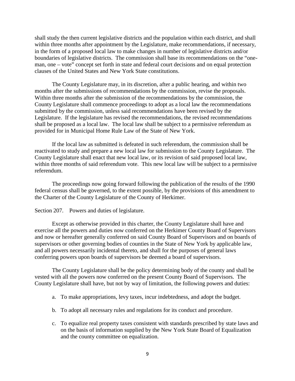shall study the then current legislative districts and the population within each district, and shall within three months after appointment by the Legislature, make recommendations, if necessary, in the form of a proposed local law to make changes in number of legislative districts and/or boundaries of legislative districts. The commission shall base its recommendations on the "one man, one – vote" concept set forth in state and federal court decisions and on equal protection clauses of the United States and New York State constitutions.

The County Legislature may, in its discretion, after a public hearing, and within two months after the submissions of recommendations by the commission, revise the proposals. Within three months after the submission of the recommendations by the commission, the County Legislature shall commence proceedings to adopt as a local law the recommendations submitted by the commission, unless said recommendations have been revised by the Legislature. If the legislature has revised the recommendations, the revised recommendations shall be proposed as a local law. The local law shall be subject to a permissive referendum as provided for in Municipal Home Rule Law of the State of New York.

If the local law as submitted is defeated in such referendum, the commission shall be reactivated to study and prepare a new local law for submission to the County Legislature. The County Legislature shall enact that new local law, or its revision of said proposed local law, within three months of said referendum vote. This new local law will be subject to a permissive referendum.

The proceedings now going forward following the publication of the results of the 1990 federal census shall be governed, to the extent possible, by the provisions of this amendment to the Charter of the County Legislature of the County of Herkimer.

Section 207. Powers and duties of legislature.

Except as otherwise provided in this charter, the County Legislature shall have and exercise all the powers and duties now conferred on the Herkimer County Board of Supervisors and now or hereafter generally conferred on said County Board of Supervisors and on boards of supervisors or other governing bodies of counties in the State of New York by applicable law, and all powers necessarily incidental thereto, and shall for the purposes of general laws conferring powers upon boards of supervisors be deemed a board of supervisors.

The County Legislature shall be the policy determining body of the county and shall be vested with all the powers now conferred on the present County Board of Supervisors. The County Legislature shall have, but not by way of limitation, the following powers and duties:

- a. To make appropriations, levy taxes, incur indebtedness, and adopt the budget.
- b. To adopt all necessary rules and regulations for its conduct and procedure.
- c. To equalize real property taxes consistent with standards prescribed by state laws and on the basis of information supplied by the New York State Board of Equalization and the county committee on equalization.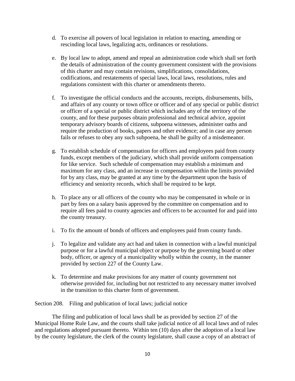- d. To exercise all powers of local legislation in relation to enacting, amending or rescinding local laws, legalizing acts, ordinances or resolutions.
- e. By local law to adopt, amend and repeal an administration code which shall set forth the details of administration of the county government consistent with the provisions of this charter and may contain revisions, simplifications, consolidations, codifications, and restatements of special laws, local laws, resolutions, rules and regulations consistent with this charter or amendments thereto.
- f. To investigate the official conducts and the accounts, receipts, disbursements, bills, and affairs of any county or town office or officer and of any special or public district or officer of a special or public district which includes any of the territory of the county, and for these purposes obtain professional and technical advice, appoint temporary advisory boards of citizens, subpoena witnesses, administer oaths and require the production of books, papers and other evidence; and in case any person fails or refuses to obey any such subpoena, he shall be guilty of a misdemeanor.
- g. To establish schedule of compensation for officers and employees paid from county funds, except members of the judiciary, which shall provide uniform compensation for like service. Such schedule of compensation may establish a minimum and maximum for any class, and an increase in compensation within the limits provided for by any class, may be granted at any time by the department upon the basis of efficiency and seniority records, which shall be required to be kept.
- h. To place any or all officers of the county who may be compensated in whole or in part by fees on a salary basis approved by the committee on compensation and to require all fees paid to county agencies and officers to be accounted for and paid into the county treasury.
- i. To fix the amount of bonds of officers and employees paid from county funds.
- j. To legalize and validate any act had and taken in connection with a lawful municipal purpose or for a lawful municipal object or purpose by the governing board or other body, officer, or agency of a municipality wholly within the county, in the manner provided by section 227 of the County Law.
- k. To determine and make provisions for any matter of county government not otherwise provided for, including but not restricted to any necessary matter involved in the transition to this charter form of government.

Section 208. Filing and publication of local laws; judicial notice

The filing and publication of local laws shall be as provided by section 27 of the Municipal Home Rule Law, and the courts shall take judicial notice of all local laws and of rules and regulations adopted pursuant thereto. Within ten (10) days after the adoption of a local law by the county legislature, the clerk of the county legislature, shall cause a copy of an abstract of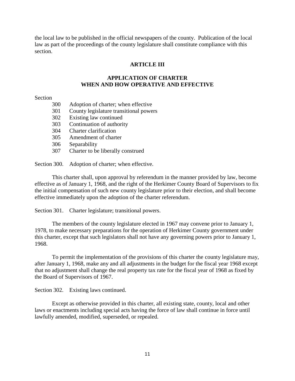the local law to be published in the official newspapers of the county. Publication of the local law as part of the proceedings of the county legislature shall constitute compliance with this section.

# **ARTICLE III**

## **APPLICATION OF CHARTER WHEN AND HOW OPERATIVE AND EFFECTIVE**

Section

- 300 Adoption of charter; when effective
- 301 County legislature transitional powers
- 302 Existing law continued
- 303 Continuation of authority
- 304 Charter clarification
- 305 Amendment of charter
- 306 Separability
- 307 Charter to be liberally construed

Section 300. Adoption of charter; when effective.

This charter shall, upon approval by referendum in the manner provided by law, become effective as of January 1, 1968, and the right of the Herkimer County Board of Supervisors to fix the initial compensation of such new county legislature prior to their election, and shall become effective immediately upon the adoption of the charter referendum.

Section 301. Charter legislature; transitional powers.

The members of the county legislature elected in 1967 may convene prior to January 1, 1978, to make necessary preparations for the operation of Herkimer County government under this charter, except that such legislators shall not have any governing powers prior to January 1, 1968.

To permit the implementation of the provisions of this charter the county legislature may, after January 1, 1968, make any and all adjustments in the budget for the fiscal year 1968 except that no adjustment shall change the real property tax rate for the fiscal year of 1968 as fixed by the Board of Supervisors of 1967.

Section 302. Existing laws continued.

Except as otherwise provided in this charter, all existing state, county, local and other laws or enactments including special acts having the force of law shall continue in force until lawfully amended, modified, superseded, or repealed.